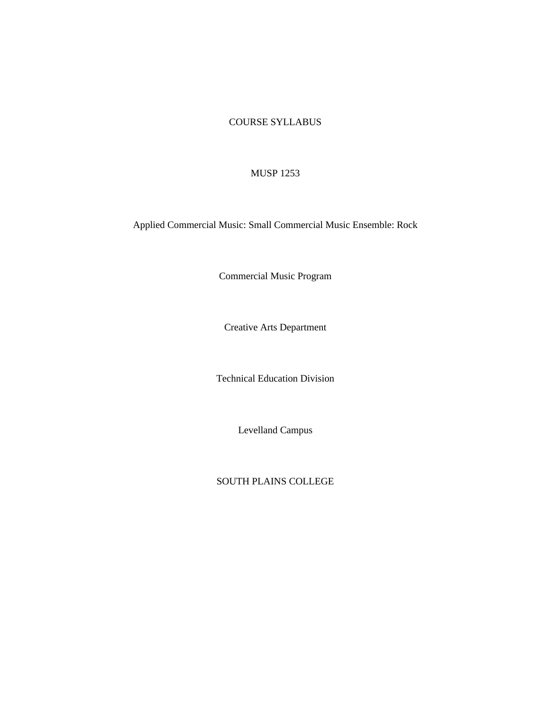## COURSE SYLLABUS

## MUSP 1253

Applied Commercial Music: Small Commercial Music Ensemble: Rock

Commercial Music Program

Creative Arts Department

Technical Education Division

Levelland Campus

SOUTH PLAINS COLLEGE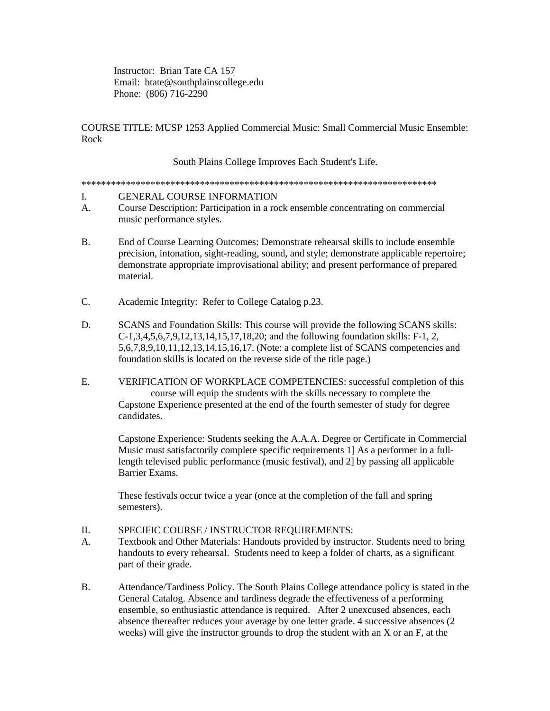Instructor: Brian Tate CA 157 Email: btate@southplainscollege.edu Phone: (806) 716-2290

COURSE TITLE: MUSP 1253 Applied Commercial Music: Small Commercial Music Ensemble: Rock

South Plains College Improves Each Student's Life.

\*\*\*\*\*\*\*\*\*\*\*\*\*\*\*\*\*\*\*\*\*\*\*\*\*\*\*\*\*\*\*\*\*\*\*\*\*\*\*\*\*\*\*\*\*\*\*\*\*\*\*\*\*\*\*\*\*\*\*\*\*\*\*\*\*\*\*\*\*\*\*\*

- I. GENERAL COURSE INFORMATION
- A. Course Description: Participation in a rock ensemble concentrating on commercial music performance styles.
- B. End of Course Learning Outcomes: Demonstrate rehearsal skills to include ensemble precision, intonation, sight-reading, sound, and style; demonstrate applicable repertoire; demonstrate appropriate improvisational ability; and present performance of prepared material.
- C. Academic Integrity: Refer to College Catalog p.23.
- D. SCANS and Foundation Skills: This course will provide the following SCANS skills: C-1,3,4,5,6,7,9,12,13,14,15,17,18,20; and the following foundation skills: F-1, 2, 5,6,7,8,9,10,11,12,13,14,15,16,17. (Note: a complete list of SCANS competencies and foundation skills is located on the reverse side of the title page.)
- E. VERIFICATION OF WORKPLACE COMPETENCIES: successful completion of this course will equip the students with the skills necessary to complete the Capstone Experience presented at the end of the fourth semester of study for degree candidates.

Capstone Experience: Students seeking the A.A.A. Degree or Certificate in Commercial Music must satisfactorily complete specific requirements 1] As a performer in a fulllength televised public performance (music festival), and 2] by passing all applicable Barrier Exams.

These festivals occur twice a year (once at the completion of the fall and spring semesters).

- II. SPECIFIC COURSE / INSTRUCTOR REQUIREMENTS:
- A. Textbook and Other Materials: Handouts provided by instructor. Students need to bring handouts to every rehearsal. Students need to keep a folder of charts, as a significant part of their grade.
- B. Attendance/Tardiness Policy. The South Plains College attendance policy is stated in the General Catalog. Absence and tardiness degrade the effectiveness of a performing ensemble, so enthusiastic attendance is required. After 2 unexcused absences, each absence thereafter reduces your average by one letter grade. 4 successive absences (2 weeks) will give the instructor grounds to drop the student with an X or an F, at the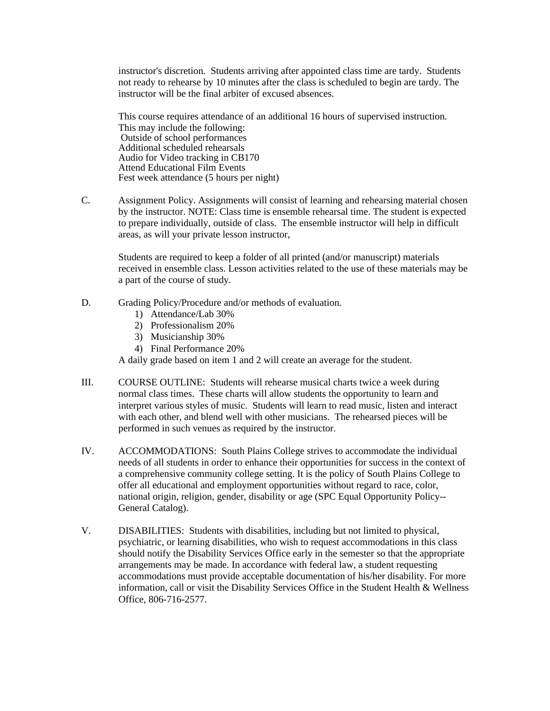instructor's discretion. Students arriving after appointed class time are tardy. Students not ready to rehearse by 10 minutes after the class is scheduled to begin are tardy. The instructor will be the final arbiter of excused absences.

This course requires attendance of an additional 16 hours of supervised instruction. This may include the following: Outside of school performances Additional scheduled rehearsals Audio for Video tracking in CB170 Attend Educational Film Events Fest week attendance (5 hours per night)

C. Assignment Policy. Assignments will consist of learning and rehearsing material chosen by the instructor. NOTE: Class time is ensemble rehearsal time. The student is expected to prepare individually, outside of class. The ensemble instructor will help in difficult areas, as will your private lesson instructor,

Students are required to keep a folder of all printed (and/or manuscript) materials received in ensemble class. Lesson activities related to the use of these materials may be a part of the course of study.

- D. Grading Policy/Procedure and/or methods of evaluation.
	- 1) Attendance/Lab 30%
	- 2) Professionalism 20%
	- 3) Musicianship 30%
	- 4) Final Performance 20%

A daily grade based on item 1 and 2 will create an average for the student.

- III. COURSE OUTLINE: Students will rehearse musical charts twice a week during normal class times. These charts will allow students the opportunity to learn and interpret various styles of music. Students will learn to read music, listen and interact with each other, and blend well with other musicians. The rehearsed pieces will be performed in such venues as required by the instructor.
- IV. ACCOMMODATIONS: South Plains College strives to accommodate the individual needs of all students in order to enhance their opportunities for success in the context of a comprehensive community college setting. It is the policy of South Plains College to offer all educational and employment opportunities without regard to race, color, national origin, religion, gender, disability or age (SPC Equal Opportunity Policy-- General Catalog).
- V. DISABILITIES: Students with disabilities, including but not limited to physical, psychiatric, or learning disabilities, who wish to request accommodations in this class should notify the Disability Services Office early in the semester so that the appropriate arrangements may be made. In accordance with federal law, a student requesting accommodations must provide acceptable documentation of his/her disability. For more information, call or visit the Disability Services Office in the Student Health & Wellness Office, 806-716-2577.